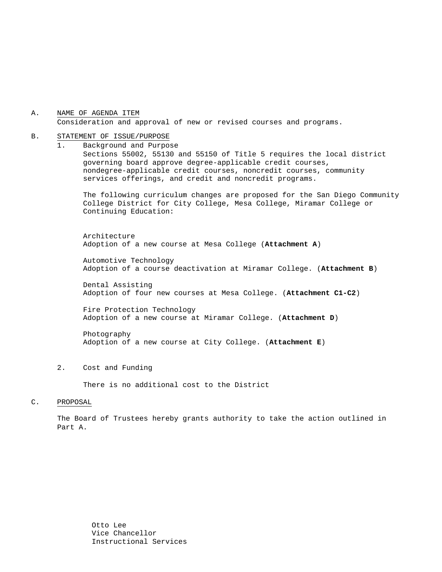### A. NAME OF AGENDA ITEM Consideration and approval of new or revised courses and programs.

#### B. STATEMENT OF ISSUE/PURPOSE

1. Background and Purpose Sections 55002, 55130 and 55150 of Title 5 requires the local district governing board approve degree-applicable credit courses, nondegree-applicable credit courses, noncredit courses, community services offerings, and credit and noncredit programs.

The following curriculum changes are proposed for the San Diego Community College District for City College, Mesa College, Miramar College or Continuing Education:

 Architecture Adoption of a new course at Mesa College (**Attachment A**)

Automotive Technology Adoption of a course deactivation at Miramar College. (**Attachment B**)

Dental Assisting Adoption of four new courses at Mesa College. (**Attachment C1-C2**)

Fire Protection Technology Adoption of a new course at Miramar College. (**Attachment D**)

Photography Adoption of a new course at City College. (**Attachment E**)

2. Cost and Funding

There is no additional cost to the District

#### C. PROPOSAL

The Board of Trustees hereby grants authority to take the action outlined in Part A.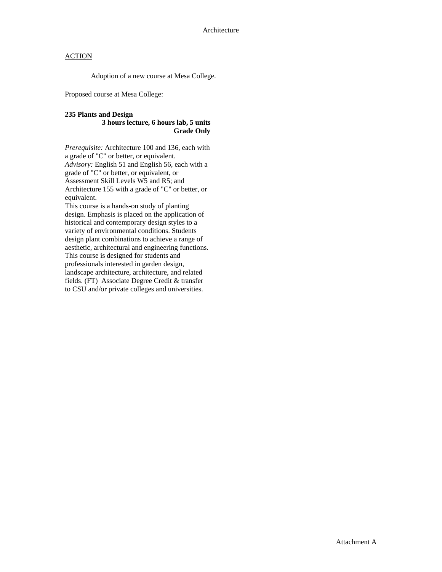Adoption of a new course at Mesa College.

Proposed course at Mesa College:

#### **235 Plants and Design**

### **3 hours lecture, 6 hours lab, 5 units Grade Only**

*Prerequisite:* Architecture 100 and 136, each with a grade of "C" or better, or equivalent. *Advisory:* English 51 and English 56, each with a grade of "C" or better, or equivalent, or Assessment Skill Levels W5 and R5; and Architecture 155 with a grade of "C" or better, or equivalent.

This course is a hands-on study of planting design. Emphasis is placed on the application of historical and contemporary design styles to a variety of environmental conditions. Students design plant combinations to achieve a range of aesthetic, architectural and engineering functions. This course is designed for students and professionals interested in garden design, landscape architecture, architecture, and related fields. (FT) Associate Degree Credit & transfer to CSU and/or private colleges and universities.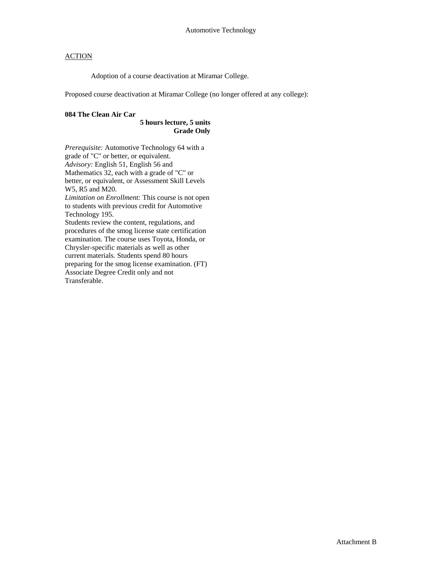Adoption of a course deactivation at Miramar College.

Proposed course deactivation at Miramar College (no longer offered at any college):

### **084 The Clean Air Car**

### **5 hours lecture, 5 units Grade Only**

*Prerequisite:* Automotive Technology 64 with a grade of "C" or better, or equivalent. *Advisory:* English 51, English 56 and Mathematics 32, each with a grade of "C" or better, or equivalent, or Assessment Skill Levels W5, R5 and M20. *Limitation on Enrollment:* This course is not open to students with previous credit for Automotive Technology 195. Students review the content, regulations, and procedures of the smog license state certification examination. The course uses Toyota, Honda, or Chrysler-specific materials as well as other current materials. Students spend 80 hours preparing for the smog license examination. (FT) Associate Degree Credit only and not Transferable.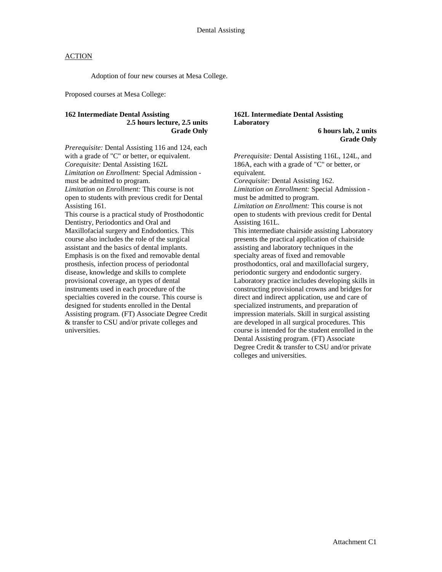Adoption of four new courses at Mesa College.

Proposed courses at Mesa College:

## **162 Intermediate Dental Assisting 2.5 hours lecture, 2.5 units Grade Only**

*Prerequisite:* Dental Assisting 116 and 124, each with a grade of "C" or better, or equivalent. *Corequisite:* Dental Assisting 162L *Limitation on Enrollment:* Special Admission must be admitted to program. *Limitation on Enrollment:* This course is not open to students with previous credit for Dental Assisting 161. This course is a practical study of Prosthodontic Dentistry, Periodontics and Oral and Maxillofacial surgery and Endodontics. This course also includes the role of the surgical assistant and the basics of dental implants. Emphasis is on the fixed and removable dental prosthesis, infection process of periodontal disease, knowledge and skills to complete provisional coverage, an types of dental instruments used in each procedure of the specialties covered in the course. This course is designed for students enrolled in the Dental Assisting program. (FT) Associate Degree Credit & transfer to CSU and/or private colleges and universities.

# **162L Intermediate Dental Assisting Laboratory**

**6 hours lab, 2 units Grade Only** 

*Prerequisite:* Dental Assisting 116L, 124L, and 186A, each with a grade of "C" or better, or equivalent.

*Corequisite:* Dental Assisting 162. *Limitation on Enrollment:* Special Admission must be admitted to program.

*Limitation on Enrollment:* This course is not open to students with previous credit for Dental Assisting 161L.

This intermediate chairside assisting Laboratory presents the practical application of chairside assisting and laboratory techniques in the specialty areas of fixed and removable prosthodontics, oral and maxillofacial surgery, periodontic surgery and endodontic surgery. Laboratory practice includes developing skills in constructing provisional crowns and bridges for direct and indirect application, use and care of specialized instruments, and preparation of impression materials. Skill in surgical assisting are developed in all surgical procedures. This course is intended for the student enrolled in the Dental Assisting program. (FT) Associate Degree Credit & transfer to CSU and/or private colleges and universities.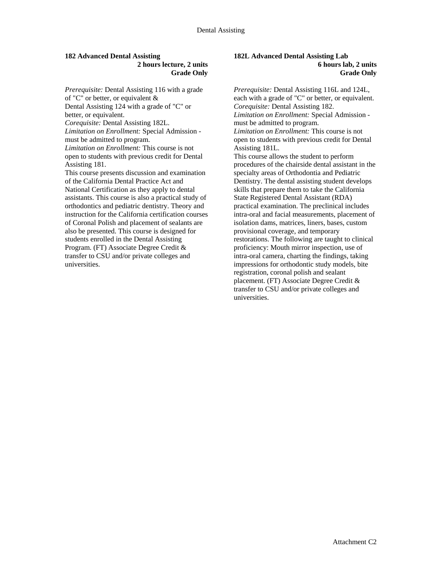## **182 Advanced Dental Assisting 2 hours lecture, 2 units Grade Only**

*Prerequisite:* Dental Assisting 116 with a grade of "C" or better, or equivalent & Dental Assisting 124 with a grade of "C" or better, or equivalent. *Corequisite:* Dental Assisting 182L. *Limitation on Enrollment:* Special Admission must be admitted to program. *Limitation on Enrollment:* This course is not open to students with previous credit for Dental Assisting 181. This course presents discussion and examination of the California Dental Practice Act and National Certification as they apply to dental assistants. This course is also a practical study of orthodontics and pediatric dentistry. Theory and instruction for the California certification courses of Coronal Polish and placement of sealants are also be presented. This course is designed for students enrolled in the Dental Assisting Program. (FT) Associate Degree Credit & transfer to CSU and/or private colleges and universities.

## **182L Advanced Dental Assisting Lab 6 hours lab, 2 units Grade Only**

*Prerequisite:* Dental Assisting 116L and 124L, each with a grade of "C" or better, or equivalent. *Corequisite:* Dental Assisting 182. *Limitation on Enrollment:* Special Admission must be admitted to program. *Limitation on Enrollment:* This course is not open to students with previous credit for Dental Assisting 181L. This course allows the student to perform procedures of the chairside dental assistant in the specialty areas of Orthodontia and Pediatric Dentistry. The dental assisting student develops skills that prepare them to take the California State Registered Dental Assistant (RDA) practical examination. The preclinical includes intra-oral and facial measurements, placement of isolation dams, matrices, liners, bases, custom provisional coverage, and temporary restorations. The following are taught to clinical proficiency: Mouth mirror inspection, use of intra-oral camera, charting the findings, taking impressions for orthodontic study models, bite registration, coronal polish and sealant

placement. (FT) Associate Degree Credit & transfer to CSU and/or private colleges and universities.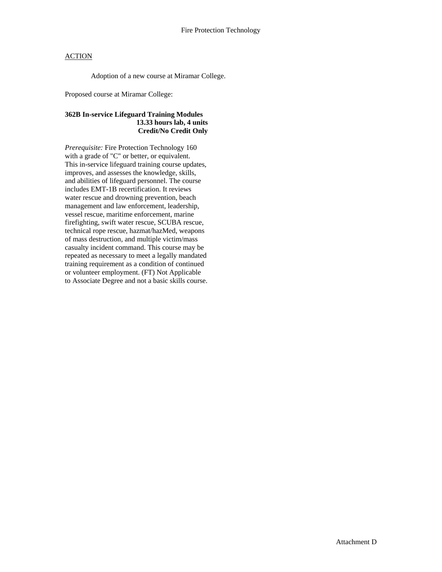Adoption of a new course at Miramar College.

Proposed course at Miramar College:

# **362B In-service Lifeguard Training Modules 13.33 hours lab, 4 units Credit/No Credit Only**

*Prerequisite:* Fire Protection Technology 160 with a grade of "C" or better, or equivalent. This in-service lifeguard training course updates, improves, and assesses the knowledge, skills, and abilities of lifeguard personnel. The course includes EMT-1B recertification. It reviews water rescue and drowning prevention, beach management and law enforcement, leadership, vessel rescue, maritime enforcement, marine firefighting, swift water rescue, SCUBA rescue, technical rope rescue, hazmat/hazMed, weapons of mass destruction, and multiple victim/mass casualty incident command. This course may be repeated as necessary to meet a legally mandated training requirement as a condition of continued or volunteer employment. (FT) Not Applicable to Associate Degree and not a basic skills course.